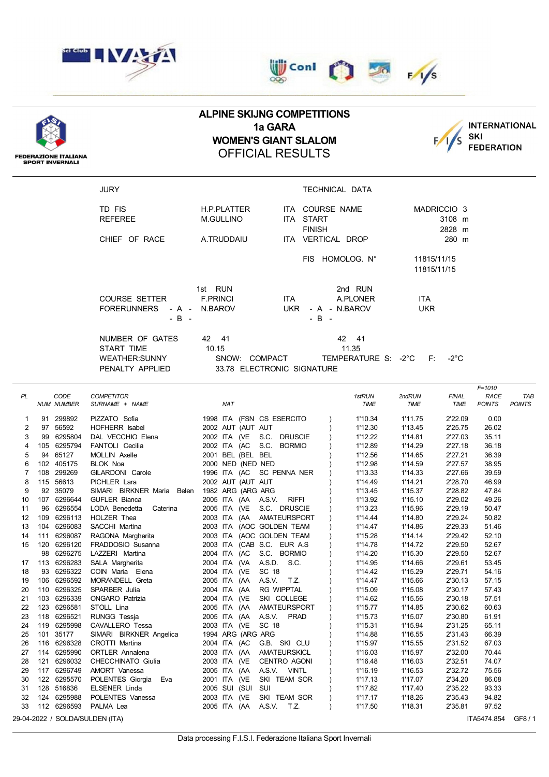





## **ALPINE SKIJNG COMPETITIONS 1a GARA WOMEN'S GIANT SLALOM** OFFICIAL RESULTS



**FEDERAZIONE ITALIANA<br>SPORT INVERNALI** 

| <b>JURY</b>          |                            |                | TECHNICAL DATA      |                        |
|----------------------|----------------------------|----------------|---------------------|------------------------|
| TD FIS               | <b>H.P.PLATTER</b>         | ITA            | COURSE NAME         | MADRICCIO <sub>3</sub> |
| <b>REFEREE</b>       | <b>M.GULLINO</b>           | ITA            | START               | 3108 m                 |
|                      |                            |                | <b>FINISH</b>       | 2828 m                 |
| CHIEF OF RACE        | A.TRUDDAIU                 |                | ITA VERTICAL DROP   | 280 m                  |
|                      |                            |                | FIS HOMOLOG. N°     | 11815/11/15            |
|                      |                            |                |                     | 11815/11/15            |
|                      | 1st RUN                    |                | 2nd RUN             |                        |
| <b>COURSE SETTER</b> | <b>F.PRINCI</b>            | <b>ITA</b>     | A.PLONER            | <b>ITA</b>             |
| <b>FORERUNNERS</b>   | - A - N.BAROV              | UKR            | - A - N.BAROV       | <b>UKR</b>             |
| - B -                |                            |                | $-B -$              | ∴ Fri                  |
| NUMBER OF GATES      | 42 41                      |                | 42<br>41            |                        |
| START TIME           | 10.15                      |                | 11.35               |                        |
| <b>WEATHER:SUNNY</b> | SNOW:                      | <b>COMPACT</b> | TEMPERATURE S: -2°C | -2°C                   |
| PENALTY APPLIED      | 33.78 ELECTRONIC SIGNATURE |                |                     |                        |

|    |     |                   |                                 |                                        |             |         |              | $F = 1010$    |               |
|----|-----|-------------------|---------------------------------|----------------------------------------|-------------|---------|--------------|---------------|---------------|
| PL |     | CODE              | <b>COMPETITOR</b>               |                                        | 1stRUN      | 2ndRUN  | <b>FINAL</b> | <b>RACE</b>   | TAB           |
|    |     | <b>NUM NUMBER</b> | SURNAME + NAME                  | <b>NAT</b>                             | <b>TIME</b> | TIME    | TIME         | <b>POINTS</b> | <b>POINTS</b> |
| 1  |     | 91 299892         | PIZZATO Sofia                   | 1998 ITA (FSN CS ESERCITO              | 1'10.34     | 1'11.75 | 2'22.09      | 0.00          |               |
| 2  |     | 97 56592          | HOFHERR Isabel                  | 2002 AUT (AUT AUT                      | 1'12.30     | 1'13.45 | 2'25.75      | 26.02         |               |
| 3  |     | 99 6295804        | DAL VECCHIO Elena               | 2002 ITA (VE<br>S.C.<br><b>DRUSCIE</b> | 1'12.22     | 1'14.81 | 2'27.03      | 35.11         |               |
| 4  |     | 105 6295794       | FANTOLI Cecilia                 | 2002 ITA (AC<br>S.C.<br><b>BORMIO</b>  | 1'12.89     | 1'14.29 | 2'27.18      | 36.18         |               |
| 5  |     | 94 65127          | MOLLIN Axelle                   | 2001 BEL (BEL BEL                      | 1'12.56     | 1'14.65 | 2'27.21      | 36.39         |               |
| 6  |     | 102 405175        | <b>BLOK Noa</b>                 | 2000 NED (NED NED                      | 1'12.98     | 1'14.59 | 2'27.57      | 38.95         |               |
| 7  |     | 108 299269        | GILARDONI Carole                | 1996 ITA (AC<br>SC PENNA NER           | 1'13.33     | 1'14.33 | 2'27.66      | 39.59         |               |
| 8  |     | 115 56613         | PICHLER Lara                    | 2002 AUT (AUT AUT                      | 1'14.49     | 1'14.21 | 2'28.70      | 46.99         |               |
| 9  |     | 92 35079          | SIMARI BIRKNER Maria<br>Belen   | 1982 ARG (ARG ARG                      | 1'13.45     | 1'15.37 | 2'28.82      | 47.84         |               |
| 10 |     | 107 6296644       | <b>GUFLER Bianca</b>            | <b>RIFFI</b><br>2005 ITA (AA A.S.V.    | 1'13.92     | 1'15.10 | 2'29.02      | 49.26         |               |
| 11 |     | 96 6296554        | LODA Benedetta<br>Caterina      | 2005 ITA (VE<br>S.C. DRUSCIE           | 1'13.23     | 1'15.96 | 2'29.19      | 50.47         |               |
| 12 | 109 | 6296113           | HOLZER Thea                     | 2003 ITA (AA<br>AMATEURSPORT           | 1'14.44     | 1'14.80 | 2'29.24      | 50.82         |               |
| 13 |     | 104 6296083       | SACCHI Martina                  | 2003 ITA (AOC GOLDEN TEAM              | 1'14.47     | 1'14.86 | 2'29.33      | 51.46         |               |
| 14 | 111 | 6296087           | RAGONA Margherita               | 2003 ITA (AOC GOLDEN TEAM              | 1'15.28     | 1'14.14 | 2'29.42      | 52.10         |               |
| 15 |     | 120 6296120       | FRADDOSIO Susanna               | 2003 ITA (CAB S.C. EUR A.S.            | 1'14.78     | 1'14.72 | 2'29.50      | 52.67         |               |
|    | 98  | 6296275           | LAZZERI Martina                 | S.C. BORMIO<br>2004 ITA (AC            | 1'14.20     | 1'15.30 | 2'29.50      | 52.67         |               |
| 17 |     | 113 6296283       | SALA Margherita                 | A.S.D.<br>2004 ITA (VA<br>S.C.         | 1'14.95     | 1'14.66 | 2'29.61      | 53.45         |               |
| 18 |     | 93 6296322        | COIN Maria Elena                | SC 18<br>2004 ITA (VE                  | 1'14.42     | 1'15.29 | 2'29.71      | 54.16         |               |
| 19 |     | 106 6296592       | MORANDELL Greta                 | 2005 ITA (AA<br>A.S.V. T.Z.            | 1'14.47     | 1'15.66 | 2'30.13      | 57.15         |               |
| 20 |     | 110 6296325       | SPARBER Julia                   | <b>RG WIPPTAL</b><br>2004 ITA (AA      | 1'15.09     | 1'15.08 | 2'30.17      | 57.43         |               |
| 21 |     | 103 6296339       | <b>ONGARO Patrizia</b>          | 2004 ITA (VE<br>SKI COLLEGE            | 1'14.62     | 1'15.56 | 2'30.18      | 57.51         |               |
| 22 |     | 123 6296581       | STOLL Lina                      | 2005 ITA (AA<br>AMATEURSPORT           | 1'15.77     | 1'14.85 | 2'30.62      | 60.63         |               |
| 23 |     | 118 6296521       | <b>RUNGG Tessja</b>             | 2005 ITA (AA<br>A.S.V.<br><b>PRAD</b>  | 1'15.73     | 1'15.07 | 2'30.80      | 61.91         |               |
| 24 |     | 119 6295998       | CAVALLERO Tessa                 | SC 18<br>2003 ITA (VE                  | 1'15.31     | 1'15.94 | 2'31.25      | 65.11         |               |
| 25 | 101 | 35177             | SIMARI BIRKNER Angelica         | 1994 ARG (ARG ARG                      | 1'14.88     | 1'16.55 | 2'31.43      | 66.39         |               |
| 26 |     | 116 6296328       | CROTTI Martina                  | 2004 ITA (AC<br>G.B. SKI CLU           | 1'15.97     | 1'15.55 | 2'31.52      | 67.03         |               |
| 27 |     | 114 6295990       | <b>ORTLER Annalena</b>          | 2003 ITA (AA<br>AMATEURSKICL           | 1'16.03     | 1'15.97 | 2'32.00      | 70.44         |               |
| 28 | 121 | 6296032           | CHECCHINATO Giulia              | 2003 ITA (VE<br><b>CENTRO AGONI</b>    | 1'16.48     | 1'16.03 | 2'32.51      | 74.07         |               |
| 29 |     | 117 6296749       | AMORT Vanessa                   | A.S.V. VINTL<br>2005 ITA (AA           | 1'16.19     | 1'16.53 | 2'32.72      | 75.56         |               |
| 30 |     | 122 6295570       | POLENTES Giorgia<br>Eva         | SKI TEAM SOR<br>2001 ITA (VE           | 1'17.13     | 1'17.07 | 2'34.20      | 86.08         |               |
| 31 |     | 128 516836        | <b>ELSENER Linda</b>            | 2005 SUI (SUI SUI                      | 1'17.82     | 1'17.40 | 2'35.22      | 93.33         |               |
| 32 |     | 124 6295988       | POLENTES Vanessa                | 2003 ITA (VE<br>SKI TEAM SOR           | 1'17.17     | 1'18.26 | 2'35.43      | 94.82         |               |
| 33 |     | 112 6296593       | PALMA Lea                       | A.S.V. T.Z.<br>2005 ITA (AA            | 1'17.50     | 1'18.31 | 2'35.81      | 97.52         |               |
|    |     |                   | 29-04-2022 / SOLDA/SULDEN (ITA) |                                        |             |         |              | ITA5474.854   | GF8/1         |